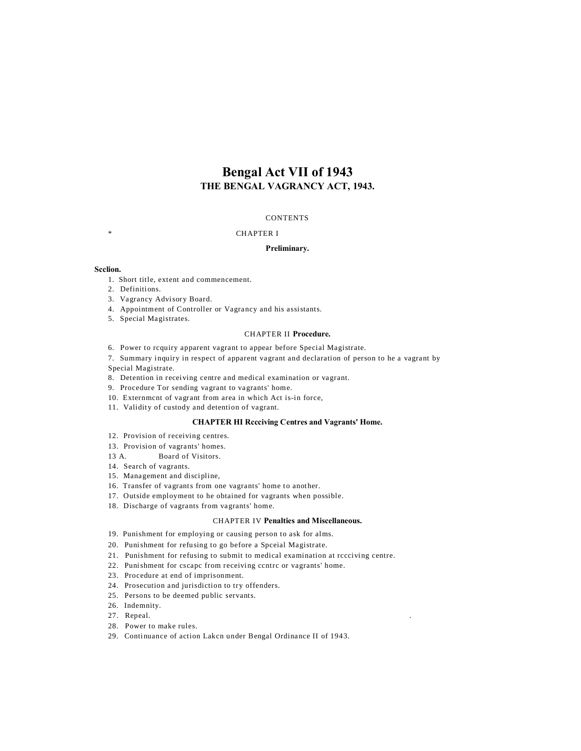# **Bengal Act VII of 1943 THE BENGAL VAGRANCY ACT, 1943.**

# **CONTENTS**

#### **CHAPTER I**

# **Preliminary.**

#### **Scclion.**

- 1. Short title, extent and commencement.
- 2. Definitions.
- 3. Vagrancy Advisory Board.
- 4. Appointment of Controller or Vagrancy and his assistants.
- 5. Special Magistrates.

## CHAPTER II **Procedure.**

6. Power to rcquiry apparent vagrant to appear before Special Magistrate.

7. Summary inquiry in respect of apparent vagrant and declaration of person to he a vagrant by Special Magistrate.

- 8. Detention in receiving centre and medical examination or vagrant.
- 9. Procedure Tor sending vagrant to vagrants' home.
- 10. Externmcnt of vagrant from area in which Act is-in force,
- 11. Validity of custody and detention of vagrant.

# **CHAPTER HI Rccciving Centres and Vagrants' Home.**

- 12. Provision of receiving centres.
- 13. Provision of vagrants' homes.
- 13 A. Board of Visitors.
- 14. Search of vagrants.
- 15. Management and discipline,
- 16. Transfer of vagrants from one vagrants' home to another.
- 17. Outside employment to he obtained for vagrants when possible.
- 18. Discharge of vagrants from vagrants' home.

#### CHAPTER IV **Penalties and Miscellaneous.**

- 19. Punishment for employing or causing person to ask for alms.
- 20. Punishment for refusing to go before a Spceial Magistrate.
- 21. Punishment for refusing to submit to medical examination at rccciving centre.
- 22. Punishment for cscapc from receiving ccntrc or vagrants' home.
- 23. Procedure at end of imprisonment.
- 24. Prosecution and jurisdiction to try offenders.
- 25. Persons to be deemed public servants.
- 26. Indemnity.
- 27. Repeal.
- 28. Power to make rules.
- 29. Continuance of action Lakcn under Bengal Ordinance II of 1943.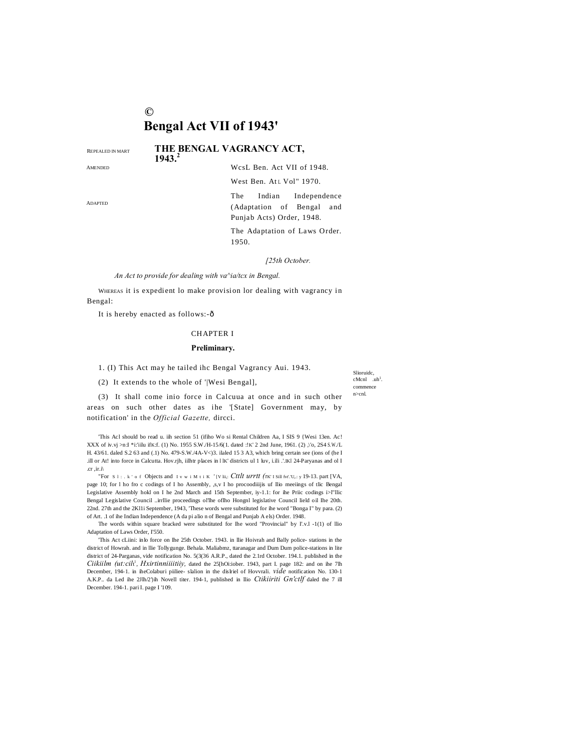# $\odot$ **Bengal Act VII of 1943'**

REPEALED IN MART

AMENDED

THE BENGAL VAGRANCY ACT,  $1943.$ 

WcsL Ben. Act VII of 1948.

West Ben. At L Vol" 1970.

Indian Independence The (Adaptation of Bengal and Punjab Acts) Order, 1948.

The Adaptation of Laws Order. 1950.

[25th October.

An Act to provide for dealing with va^ia/tcx in Bengal.

WHEREAS it is expedient lo make provision lor dealing with vagrancy in Bengal:

It is hereby enacted as follows:-ô

# **CHAPTER I**

#### Preliminary.

1. (I) This Act may he tailed ihc Bengal Vagrancy Aui. 1943.

(2) It extends to the whole of '|Wesi Bengal],

Slioruide,  $c$ Mcnl  $uh<sup>1</sup>$ commence  $n > cnl$ 

(3) It shall come inio force in Calcuua at once and in such other areas on such other dates as ihe '[State] Government may, by notification' in the Official Gazette, dircci.

'This Acl should bo read u. iih section 51 (ifiho Wo si Rental Children Aa, I SIS 9 {Wesi 13en. Ac! XXX of iv.vj >n:I \*i:'iilu ifK:f. (1) No. 1955 S.W /H-15/6(1. dated :!K' 2 2nd June, 1961. (2) ,\'o, 2S4 S.W /L H. 43/61. daled S.2 63 and (.1) No. 479-S.W./4A-V<)3. ilaled 15 3 A3, which bring certain see (ions of (he I ill or At! into force in Calcutta. Hov.rjh, iilhtr places in HK' districts ul 1 luv, i.ili .'.IKI 24-Paryanas and ol I .cr .ir.i

"For S 1 : . k ' o f Objects and I v w i M t i K '[V lii,: Cttlt urrtt (TK I Sill fvt. U,.: y 19-13. part [VA, page 10; for 1 ho fro c codings of I ho Assembly, ,s,v I ho procoodiiijis uf Ilio meeiings of tlic Bengal Legislative Assembly hokl on I he 2nd March and 15th September, iy-1.1: for ihe Priic codings i>l"llic Bengal Legislative Council ..irrllie proceedings ol'lhe oflho Hongnl legislative Council lield oil Ihe 20th. 22nd. 27th and the 2K11i September, 1943, 'These words were substituted for ihe word "Bonga I" by para. (2) of Art. .1 of ihe Indian Independence (A da pi alio n of Bengal and Punjab A els) Order. 1948.

The words within square bracked were substituted for Ihe word "Provincial" by I'.v.l -1(1) of Ilio Adaptation of Laws Order, I'550.

'This Act cLiini: inlo force on Ihe 25th October. 1943. in Ilie Hoivrah and Bally police-stations in the district of Howrah. and in Ilie Tollygunge. Behala. Maliabmz, ttaranagar and Dum Dum police-stations in lite district of 24-Parganas, vide notification No. 5(3(36 A.R.P., dated the 2.1rd October. 194.1. published in the Ciikiilm (ut:cili<sup>1</sup>, Hxirtinniiiitiiy, dated the 25[hOi:iober. 1943, part I. page 182: and on ihe 7lh December, 194-1. in iheColaburi piiliee- slalion in the dislriel of Hovvrali. vide notification No. 130-1 A.K.P.. da Led ihe 2Jlh/2')ih Novell titer. 194-1, published in Ilio Ctikiiriti Gn'ctlf daled the 7 ill December. 194-1. pari I. page I '109.

ADAPTED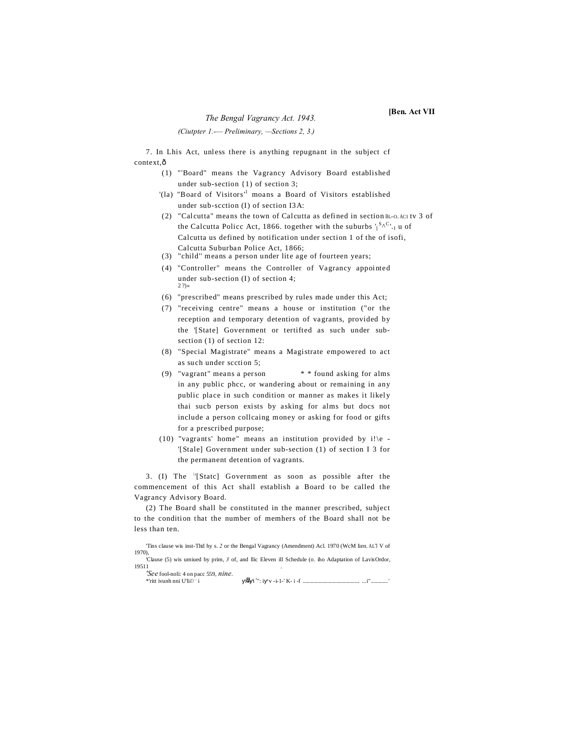# *The Bengal Vagrancy Act. 1943.* **[Ben. Act VII**

*(Ciutpter 1.-— Preliminary, —Sections 2, 3.)*

7. In Lhis Act, unless there is anything repugnant in the subject cf context, ô

- (1) "'Board" means the Vagrancy Advisory Board established under sub-section {1) of section 3;
- '(la) "Board of Visitors'<sup>1</sup> moans a Board of Visitors established under sub-scction (I) of section I3A:
- (2) "Calcutta" means the town of Calcutta as defined in section BL-O. ACI tv 3 of the Calcutta Policc Act, 1866. together with the suburbs  $\int_{0}^{S_{\Lambda}C_{\Lambda}}$  u of Calcutta us defined by notification under section 1 of the of isofi, Calcutta Suburban Police Act, 1866;
- (3) "child'' means a person under lite age of fourteen years;
- (4) "Controller" means the Controller of Vagrancy appointed under sub-section (I) of section 4;  $27$
- (6) "prescribed" means prescribed by rules made under this Act;
- (7) "receiving centre" means a house or institution ("or the reception and temporary detention of vagrants, provided by the '[State] Government or tertifted as such under subsection (1) of section 12:
- (8) "Special Magistrate" means a Magistrate empowered to act as such under scction 5;
- (9) "vagrant" means a person  $* *$  found asking for alms in any public phcc, or wandering about or remaining in any public place in such condition or manner as makes it likely thai sucb person exists by asking for alms but docs not include a person collcaing money or asking for food or gifts for a prescribed purpose;
- (10) "vagrants' home" means an institution provided by  $i!$  |e -'[Stale] Government under sub-section (1) of section I 3 for the permanent detention of vagrants.

3. (I) The '[Statc] Government as soon as possible after the commencement of this Act shall establish a Board to be called the Vagrancy Advisory Board.

(2) The Board shall be constituted in the manner prescribed, suhject to the condition that the number of memhers of the Board shall not be less than ten.

'Tins clause wis inst-Tltd hy s. 2 or the Bengal Vagrancy (Amendment) Acl. 1970 (WcM lien. AL'I V of 1970),

'Clause (5) wis umiued by prim, *3* of, and llic Eleven ill Schedule (o. iho Adaptation of LavisOrdor, 19511 .

*'See* fool-noli: 4 on pacc 559, *nine.* \*'ritt ivunh nni U'lii'/ , i •• i r ": i v -i-1-' K- i -f ............................................ ...i" .............'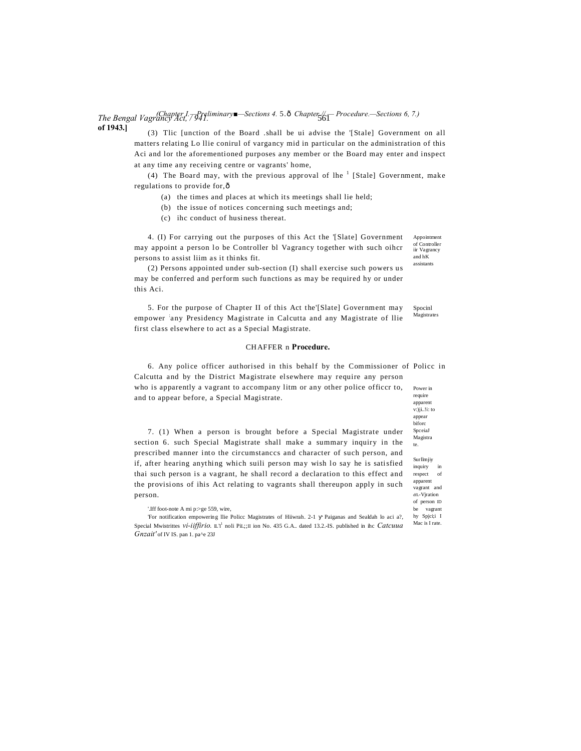# *The Bengal Vagrancy Act, 7941.* The *Sections 4.* 5.∂ *Chapter //. — Procedure.—Sections 6, 7.*) **of 1943.]**

(3) Tlic [unction of the Board .shall be ui advise the '[Stale] Government on all matters relating Lo llie conirul of vargancy mid in particular on the administration of this Aci and lor the aforementioned purposes any member or the Board may enter and inspect at any time any receiving centre or vagrants' home,

(4) The Board may, with the previous approval of lhe  $<sup>1</sup>$  [Stale] Government, make</sup> regulations to provide for. $ô$ 

- (a) the times and places at which its meetings shall lie held;
- (b) the issue of notices concerning such meetings and;
- (c) ihc conduct of husiness thereat.

4. (I) For carrying out the purposes of this Act the '[Slate] Government may appoint a person lo be Controller bl Vagrancy together with such oihcr persons to assist liim as it thinks fit.

(2) Persons appointed under sub-section (I) shall exercise such powers us may be conferred and perform such functions as may be required hy or under this Aci.

Spocinl 5. For the purpose of Chapter II of this Act the'[Slate] Government may empower any Presidency Magistrate in Calcutta and any Magistrate of Ilie first class elsewhere to act as a Special Magistrate.

#### CH AFFER n **Procedure.**

Power in 6. Any police officer authorised in this behalf by the Commissioner of Policc in Calcutta and by the District Magistrate elsewhere may require any person who is apparently a vagrant to accompany litm or any other police officcr to,

7. (1) When a person is brought before a Special Magistrate under section 6. such Special Magistrate shall make a summary inquiry in the prescribed manner into the circumstanccs and character of such person, and if, after hearing anything which suili person may wish lo say he is satisfied thai such person is a vagrant, he shall record a declaration to this effect and the provisions of ihis Act relating to vagrants shall thereupon apply in such person.

and to appear before, a Special Magistrate.

'For notification empowering llie Policc Magistrates of Hiiwrah. 2-1 Paiganas and Sealdah lo aci a?, Special Mwistrittes *vi-iiffirio*. L'<sup>1</sup> noli PiL;;II ion No. 435 G.A.. dated 13.2.-IS. published in ihc *Catcuua Gnzait'* of IV IS. pan 1. pa^e 23J

require apparent v:)ji..!i: to appear biforc SpceiaJ Magistra te. Surllmjiy inquiry in respect of apparent vagrant and dfL-Vjration of person ID be vagrant hy Spjci;i I Mac is I rate.

Appointment of Controller iir Vagrancy and hK assistants

Magistrates

<sup>&#</sup>x27;.Iff foot-note A mi p:>ge 559, wire,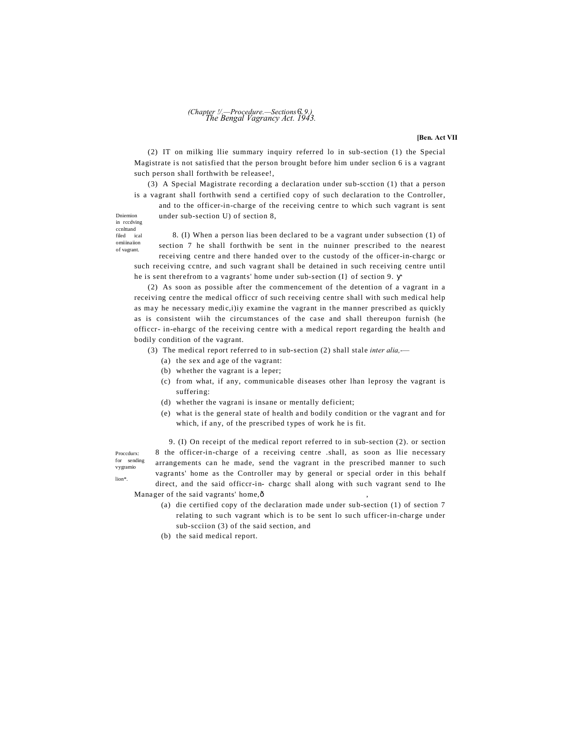# *The Bengal Vagrancy Act. 1943. (Chapter !/.—Procedure.—Sections*6'. *9.)*

**[Ben. Act VII**

(2) IT on milking llie summary inquiry referred lo in sub-section (1) the Special Magistrate is not satisfied that the person brought before him under seclion 6 is a vagrant such person shall forthwith be releasee!,

(3) A Special Magistrate recording a declaration under sub-scction (1) that a person is a vagrant shall forthwith send a certified copy of such declaration to the Controller,

and to the officer-in-charge of the receiving centre to which such vagrant is sent under sub-section U) of section 8,

Dniemion in rccdving ccnlttand filed ical omiiinaiion

of vagrant.

8. (I) When a person lias been declared to be a vagrant under subsection (1) of section 7 he shall forthwith be sent in the nuinner prescribed to the nearest receiving centre and there handed over to the custody of the officer-in-chargc or

such receiving ccntre, and such vagrant shall be detained in such receiving centre until he is sent therefrom to a vagrants' home under sub-section (I} of section 9.

(2) As soon as possible after the commencement of the detention of a vagrant in a receiving centre the medical officcr of such receiving centre shall with such medical help as may he necessary medic,i)iy examine the vagrant in the manner prescribed as quickly as is consistent wiih the circumstances of the case and shall thereupon furnish (he officcr- in-ehargc of the receiving centre with a medical report regarding the health and bodily condition of the vagrant.

(3) The medical report referred to in sub-section (2) shall stale *inter alia,-—*

- (a) the sex and age of the vagrant:
- (b) whether the vagrant is a leper;
- (c) from what, if any, communicable diseases other lhan leprosy the vagrant is suffering:
- (d) whether the vagrani is insane or mentally deficient;
- (e) what is the general state of health and bodily condition or the vagrant and for which, if any, of the prescribed types of work he is fit.

Proccdurx: for sending vygramio lion\*.

9. (I) On receipt of the medical report referred to in sub-section (2). or section 8 the officer-in-charge of a receiving centre .shall, as soon as llie necessary arrangements can he made, send the vagrant in the prescribed manner to such vagrants' home as the Controller may by general or special order in this behalf direct, and the said officcr-in- chargc shall along with such vagrant send to Ihe Manager of the said vagrants' home, ô

- (a) die certified copy of the declaration made under sub-section (1) of section 7 relating to such vagrant which is to be sent lo such ufficer-in-charge under sub-scciion (3) of the said section, and
- (b) the said medical report.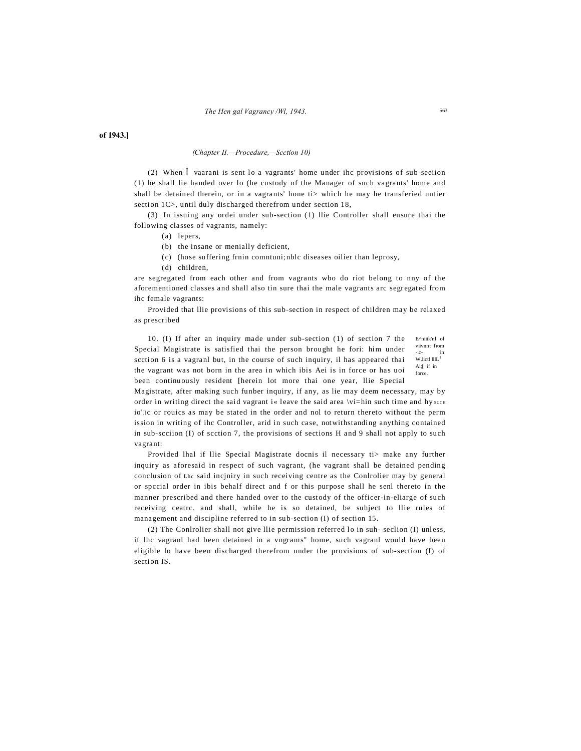### of 1943.]

### (Chapter II.-Procedure,-Scction 10)

vaarani is sent lo a vagrants' home under ihc provisions of sub-seeiion  $(2)$  When (1) he shall lie handed over lo (he custody of the Manager of such vagrants' home and shall be detained therein, or in a vagrants' hone ti> which he may he transferied untier section 1C>, until duly discharged therefrom under section 18,

(3) In issuing any ordei under sub-section (1) llie Controller shall ensure thai the following classes of vagrants, namely:

- (a) lepers,
- (b) the insane or menially deficient,
- (c) (hose suffering frnin comntuni; nblc diseases oilier than leprosy,
- (d) children,

are segregated from each other and from vagrants wbo do riot belong to nny of the aforementioned classes and shall also tin sure thai the male vagrants arc segregated from ihc female vagrants:

Provided that Ilie provisions of this sub-section in respect of children may be relaxed as prescribed

E^niiik'nl ol 10. (I) If after an inquiry made under sub-section (1) of section 7 the viivnnt from Special Magistrate is satisfied thai the person brought he fori: him under  $W$  lietl lllL<sup>1</sup> scction 6 is a vagranl but, in the course of such inquiry, il has appeared thai Ai;[ if in the vagrant was not born in the area in which ibis Aei is in force or has uoi been continuously resident [herein lot more thai one year, llie Special

Magistrate, after making such funber inquiry, if any, as lie may deem necessary, may by order in writing direct the said vagrant i« leave the said area \vi=hin such time and hy such io'llc or rouics as may be stated in the order and nol to return thereto without the perm ission in writing of ihc Controller, arid in such case, notwithstanding anything contained in sub-section (I) of section 7, the provisions of sections H and 9 shall not apply to such vagrant:

Provided lhal if Ilie Special Magistrate docnis il necessary ti> make any further inquiry as aforesaid in respect of such vagrant, (he vagrant shall be detained pending conclusion of Lhe said incjniry in such receiving centre as the Conlroller may by general or special order in ibis behalf direct and f or this purpose shall he senl thereto in the manner prescribed and there handed over to the custody of the officer-in-eliarge of such receiving ceatrc. and shall, while he is so detained, be suhject to llie rules of management and discipline referred to in sub-section (I) of section 15.

(2) The Conlrolier shall not give llie permission referred lo in suh-section (I) unless, if lhc vagranl had been detained in a vngrams" home, such vagranl would have been eligible lo have been discharged therefrom under the provisions of sub-section (I) of section IS.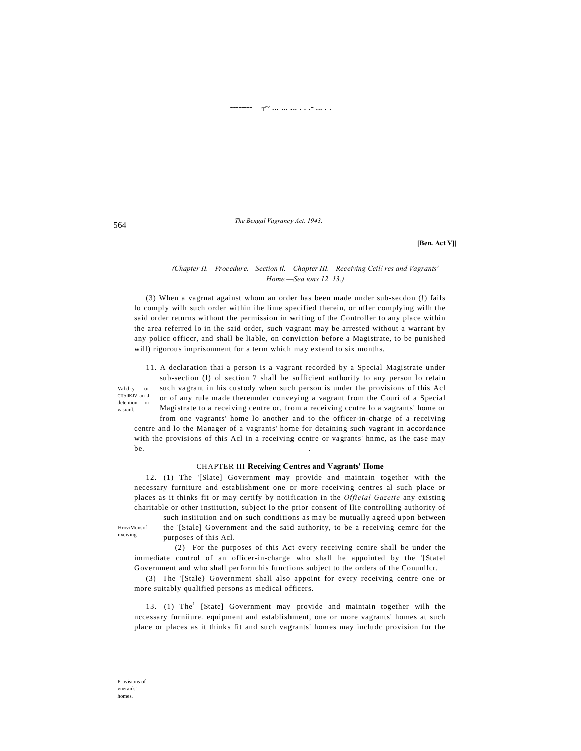#### ----- r ... ... .. . . <del>.</del> ... . .

The Bengal Vagrancy Act. 1943.

[Ben. Act V]]

### (Chapter II.-Procedure.-Section tl.-Chapter III.-Receiving Ceil! res and Vagrants' Home.-Sea ions 12. 13.)

(3) When a vagrnat against whom an order has been made under sub-secdon (!) fails lo comply wilh such order within ihe lime specified therein, or nfler complying wilh the said order returns without the permission in writing of the Controller to any place within the area referred lo in ihe said order, such vagrant may be arrested without a warrant by any police officer, and shall be liable, on conviction before a Magistrate, to be punished will) rigorous imprisonment for a term which may extend to six months.

11. A declaration thai a person is a vagrant recorded by a Special Magistrate under sub-section (I) ol section 7 shall be sufficient authority to any person lo retain such vagrant in his custody when such person is under the provisions of this Acl CII5IIKJV an J or of any rule made thereunder conveying a vagrant from the Couri of a Special Magistrate to a receiving centre or, from a receiving centre lo a vagrants' home or from one vagrants' home lo another and to the officer-in-charge of a receiving

centre and lo the Manager of a vagrants' home for detaining such vagrant in accordance with the provisions of this Acl in a receiving centre or vagrants' hnmc, as ihe case may be.

#### **CHAPTER III Receiving Centres and Vagrants' Home**

12. (1) The '[Slate] Government may provide and maintain together with the necessary furniture and establishment one or more receiving centres al such place or places as it thinks fit or may certify by notification in the *Official Gazette* any existing charitable or other institution, subject lo the prior consent of llie controlling authority of

HroviMonsof nxciving

purposes of this Acl. (2) For the purposes of this Act every receiving conire shall be under the immediate control of an oflicer-in-charge who shall he appointed by the '[Statel

such insitiution and on such conditions as may be mutually agreed upon between

the '[Stale] Government and the said authority, to be a receiving cemrc for the

Government and who shall perform his functions subject to the orders of the Conunllcr.

(3) The '[Stale} Government shall also appoint for every receiving centre one or more suitably qualified persons as medical officers.

13. (1) The<sup>1</sup> [State] Government may provide and maintain together wilh the nccessary furniiure. equipment and establishment, one or more vagrants' homes at such place or places as it thinks fit and such vagrants' homes may include provision for the

Validity

detention

vasranl.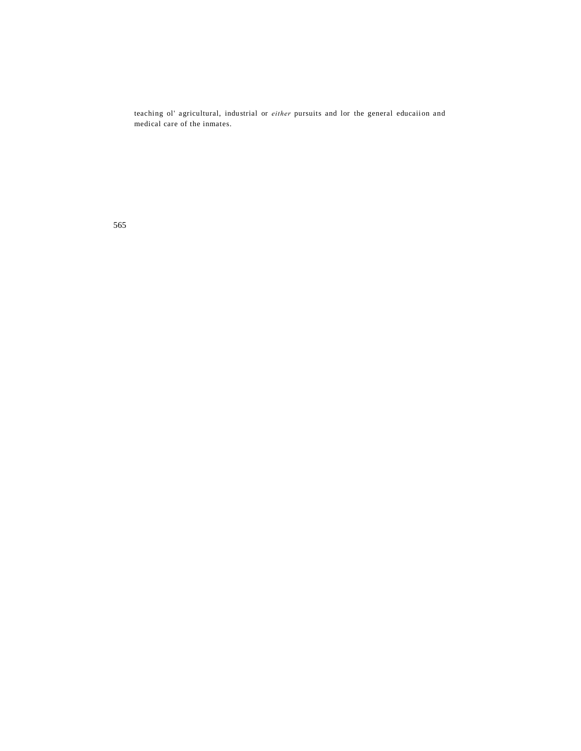teaching ol' agricultural, industrial or *either* pursuits and lor the general educaiion and medical care of the inmates.

565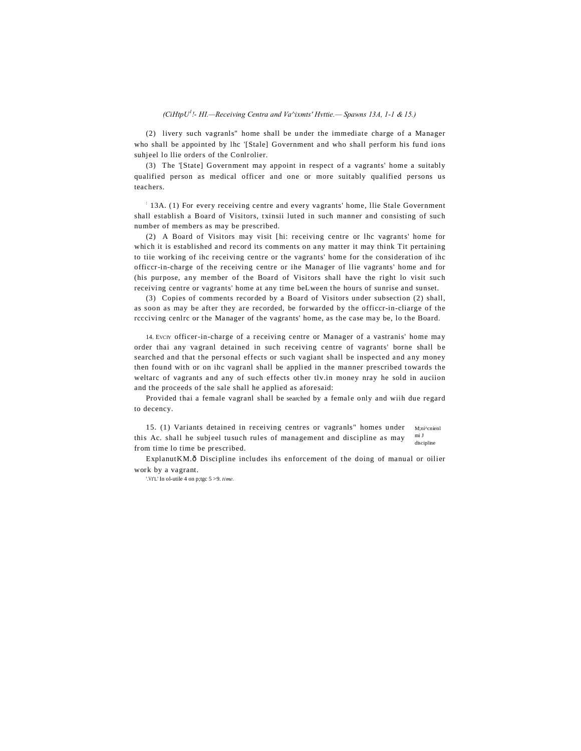# (CiHtpU<sup>1</sup>!- HI.—Receiving Centra and Va^ixmts' Hvttie.— Spawns 13A, 1-1 & 15.)

(2) livery such vagranls" home shall be under the immediate charge of a Manager who shall be appointed by lhc '[Stale] Government and who shall perform his fund ions suhjeel lo llie orders of the Conlrolier.

(3) The '[State] Government may appoint in respect of a vagrants' home a suitably qualified person as medical officer and one or more suitably qualified persons us teachers.

 $\frac{1}{2}$  13A. (1) For every receiving centre and every vagrants' home, llie Stale Government shall establish a Board of Visitors, txinsii luted in such manner and consisting of such number of members as may be prescribed.

(2) A Board of Visitors may visit [hi: receiving centre or lhc vagrants' home for which it is established and record its comments on any matter it may think Tit pertaining to tiie working of ihc receiving centre or the vagrants' home for the consideration of ihc officer-in-charge of the receiving centre or ihe Manager of Ilie vagrants' home and for (his purpose, any member of the Board of Visitors shall have the right lo visit such receiving centre or vagrants' home at any time beLween the hours of sunrise and sunset.

(3) Copies of comments recorded by a Board of Visitors under subsection (2) shall, as soon as may be after they are recorded, be forwarded by the officer-in-cliarge of the receiving cenlre or the Manager of the vagrants' home, as the case may be, lo the Board.

14. Evcn officer-in-charge of a receiving centre or Manager of a vastranis' home may order thai any vagranl detained in such receiving centre of vagrants' borne shall be searched and that the personal effects or such vagiant shall be inspected and any money then found with or on ihc vagranl shall be applied in the manner prescribed towards the weltarc of vagrants and any of such effects other tly.in money nray he sold in auciion and the proceeds of the sale shall he applied as aforesaid:

Provided thai a female vagranl shall be searched by a female only and with due regard to decency.

15. (1) Variants detained in receiving centres or vagranls" homes under M:ni^cnienl mi J this Ac. shall he subjeel tusuch rules of management and discipline as may discipline from time lo time be prescribed.

ExplanutKM.ô Discipline includes ihs enforcement of the doing of manual or oilier work by a vagrant.

'.VI'L' In ol-utile 4 on p;tgc  $5 > 9$ . time.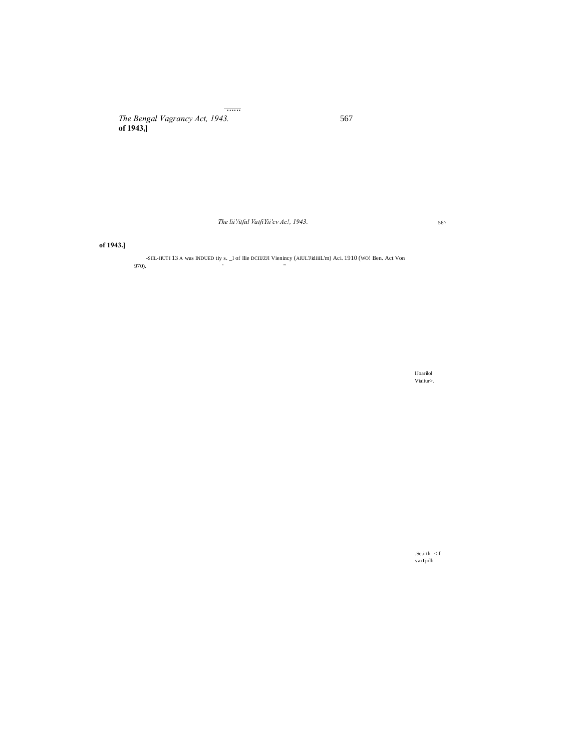The Bengal Vagrancy Act, 1943.<br>of 1943,

The lii'/itful VatfiYii'cv Ac!, 1943.

of 1943.]

-SIIL-IIUTI 13 A was INDUED tiy s. \_I of Ilie DCIIIZII Vienincy (AIUL'JidiiiL'm) Aci. 1910 (WO! Ben. Act Von 970).

 $\begin{array}{c} \text{U\^i} \\ \text{V\^i} \\ \text{V\^i} \\ \end{array}$ 

 $\begin{aligned} &\text{.Se}.\text{irth} \ &\text{$ 

567

 $56^{\wedge}$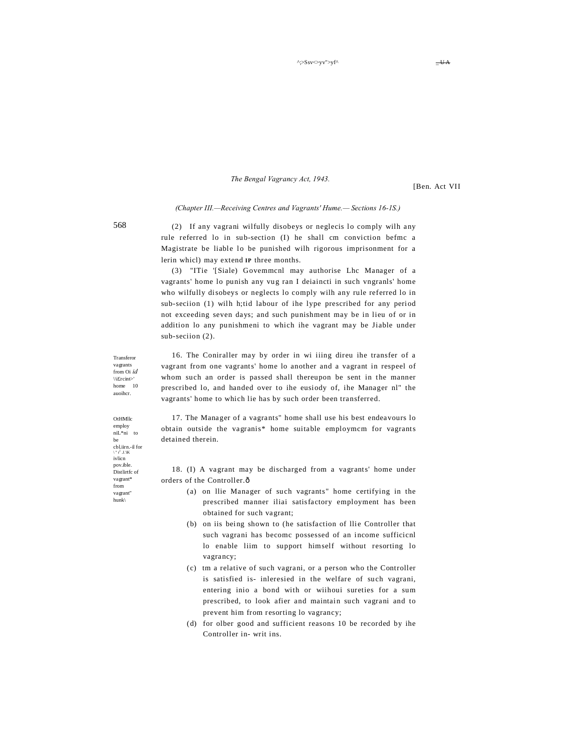The Bengal Vagrancy Act, 1943.

[Ben. Act VII

#### (Chapter III.—Receiving Centres and Vagrants' Hume.— Sections 16-1S.)

(2) If any vagrani wilfully disobeys or neglecis lo comply wilh any rule referred lo in sub-section (I) he shall cm conviction befmc a Magistrate be liable lo be punished wilh rigorous imprisonment for a lerin whicl) may extend IP three months.

(3) "ITie '[Siale) Govemmenl may authorise Lhc Manager of a vagrants' home lo punish any vug ran I deiaincti in such vngranls' home who wilfully disobeys or neglects lo comply wilh any rule referred lo in sub-seciion (1) wilh h;tid labour of ihe lype prescribed for any period not exceeding seven days; and such punishment may be in lieu of or in addition lo any punishmeni to which ihe vagrant may be Jiable under sub-section (2).

16. The Coniraller may by order in wi iiing direu ihe transfer of a vagrant from one vagrants' home lo another and a vagrant in respeel of whom such an order is passed shall thereupon be sent in the manner prescribed lo, and handed over to ihe eusiody of, ihe Manager nl" the vagrants' home to which lie has by such order been transferred.

17. The Manager of a vagrants" home shall use his best endeavours lo obtain outside the vagranis\* home suitable employmem for vagrants detained therein

18. (I) A vagrant may be discharged from a vagrants' home under orders of the Controller.ô

- (a) on Ilie Manager of such vagrants" home certifying in the prescribed manner iliai satisfactory employment has been obtained for such vagrant;
- (b) on iis being shown to (he satisfaction of Ilie Controller that such vagrani has become possessed of an income sufficienl lo enable liim to support himself without resorting lo vagrancy;
- (c) tm a relative of such vagrani, or a person who the Controller is satisfied is- inleresied in the welfare of such vagrani, entering inio a bond with or wiihoui sureties for a sum prescribed, to look afier and maintain such vagrani and to prevent him from resorting lo vagrancy;
- (d) for olber good and sufficient reasons 10 be recorded by ihe Controller in-writ ins.

Transfero vagrants from Oi id \\ifrcint> home 10 auoihcr.

OtHMllc employ  $\mathrm{nil.}^{\ast}\mathrm{ni}$  to  $h_{\theta}$ chl jirn -il for  $ivlicn$ pov.ible. Distlirtfc of vagrant\* from vagrant" hunk\

 $\overline{\phantom{a}}$ UA

568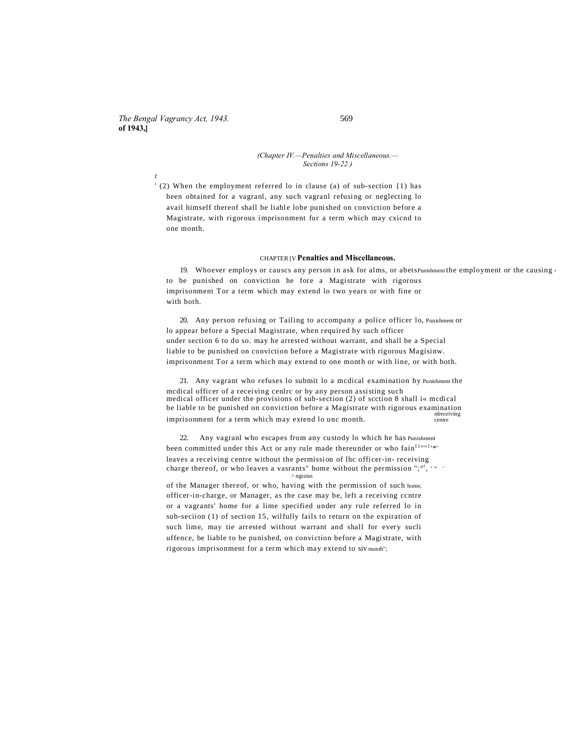*The Bengal Vagrancy Act, 1943.* 569 **of 1943,]**

*t*

# *(Chapter IV.—Penalties and Miscellaneous.—*

*Sections 19-22.)*

' (2) When the employment referred lo in clause (a) of sub-section {1) has been obtained for a vagranl, any such vagranl refusing or neglecting lo avail himself thereof shall be liahle lobe punished on conviction before a Magistrate, with rigorous imprisonment fur a term which may cxicnd to one month.

#### CHAPTER [V **Penalties and Miscellaneous.**

19. Whoever employs or causcs any person in ask for alms, or abetsPunishment the employment or the causing to be punished on conviction he fore a Magistrate with rigorous imprisonment Tor a term which may extend lo two years or with fine or with both.

20. Any person refusing or Tailing to accompany a police officer lo, Punishment or lo appear before a Special Magistrate, when required by such officer under section 6 to do so. may he arrested without warrant, and shall be a Special liable to be punished on conviction before a Magistrate with rigorous Magisinw. imprisonment Tor a term which may extend to one month or with line, or with both.

21. Any vagrant who refuses lo submit lo a mcdical examination by Punishment the mcdical officer of a receiving cenlrc or by any person assisting such medical officer under the provisions of sub-section (2) of scction 8 shall i« mcdical be liable to be punished on conviction before a Magistrate with rigorous examination imprisonment for a term which may extend lo unc month.

22. Any vagranl who escapes from any custody lo which he has Punishment been committed under this Act or any rule made thereunder or who fain $11nm1$ leaves a receiving centre without the permission of lhc officer-in- receiving charge thereof, or who leaves a vasrants" home without the permission "; $\sigma$ ,  $\sigma$ ,  $\sigma$ > ngraius

of the Manager thereof, or who, having with the permission of such home, officer-in-charge, or Manager, as the case may be, left a receiving ccntre or a vagrants' home for a lime specified under any rule referred lo in sub-seciion (1) of section 15, wilfully fails to return on the expiration of such lime, may tie arrested without warrant and shall for every sucli uffence, be liable to be punished, on conviction before a Magistrate, with rigorous imprisonment for a term which may extend to siv month";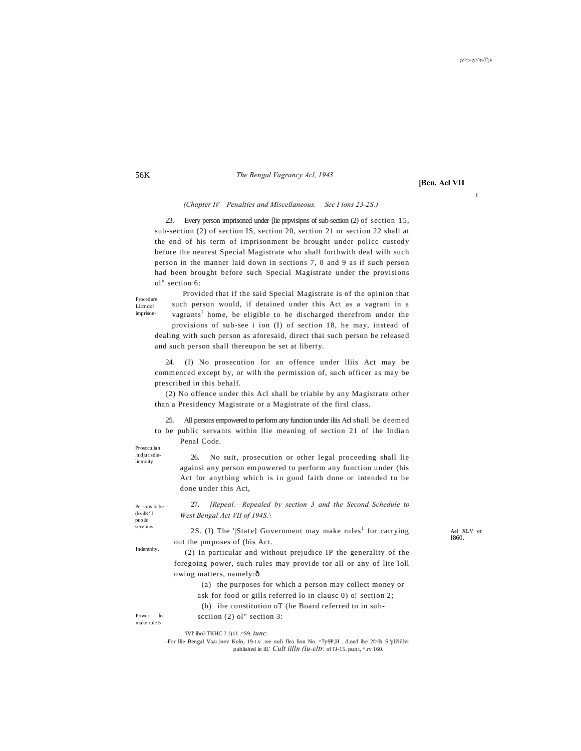I

# *The Bengal Vagrancy Acl, 1943.*

**[Ben. Acl VII**

#### *(Chapter IV—Penalties and Miscellaneous.— Sec I ions 23-2S.)*

23. Every person imprisoned under [lie prpvisipns of sub-section (2) of section 15, sub-section (2) of section IS, section 20, section 21 or section 22 shall at the end of his term of imprisonment be brought under policc custody before the nearest Special Magistrate who shall forthwith deal wilh such person in the manner laid down in sections 7, 8 and 9 as if such person had been brought before such Special Magistrate under the provisions ol" section 6:

Procedure Lilcndof imprison-

Provided that if the said Special Magistrate is of the opinion that such person would, if detained under this Act as a vagrani in a vagrants<sup>1</sup> home, be eligible to be discharged therefrom under the provisions of sub-see i ion (I) of section 18, he may, instead of

dealing with such person as aforesaid, direct thai such person be released and such person shall thereupon be set at liberty.

24. (I) No prosecution for an offence under lliis Act may be commenced except by, or wilh the permission of, such officer as may be prescribed in this behalf.

(2) No offence under this Acl shall be triable by any Magistrate other than a Presidency Magistrate or a Magistrate of the firsl class.

25. All persons empowered to perform any function under iliis Acl shall be deemed to be public servants within llie meaning of section 21 of ihe Indian Penal Code.

Proscculian .nidjurisdieliomoity

26. No suit, prosecution or other legal proceeding shall lie againsi any person empowered to perform any function under (his Act for anything which is in good faith done or intended to be done under this Act,

Persons lo be (kvilK'll public<br>serviiiis

27. *[Repeal.—Repealed by section 3 and the Second Schedule to West Bengal Act VII of 194S.\*

serviiiis. 2S. (I) The '|State] Government may make rules<sup>1</sup> for carrying and XLV or out the purposes of (his Act.

I860.

Indemnity.

(2) In particular and without prejudice IP the generality of the foregoing power, such rules may provide tor all or any of lite loll owing matters, namely: ô

> (a) the purposes for which a person may collect money or ask for food or gills referred lo in clausc 0) o! section 2;

(b) ihe constitution oT (he Board referred to in suh-

Power lo make rule 5

'iVl' ibol-TKHC J 1)11 .^S9. *tunc.*

scciion (2) ol" section 3:

-For llie Bengal Vaar.inev Kulo, 19-t.v .ree noli flea lion No. ^7y9P,H . d.ned ihe 2f>lh S.'pli'iillvr published in ill.' *Cult iilln (iu-cltr.* of l'J-15. pun t, ^.rv 160.

#### 56K